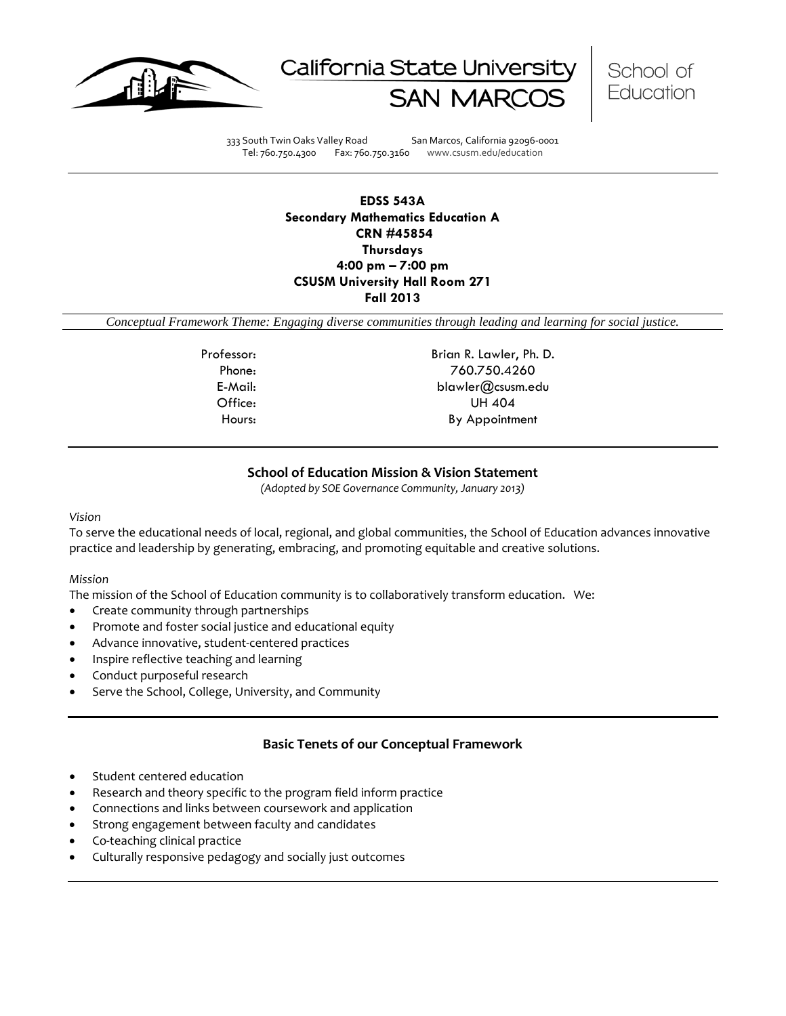





333 South Twin Oaks Valley Road San Marcos, California 92096-0001 Tel: 760.750.4300 Fax: 760.750.3160 www.csusm.edu/education

**EDSS 543A Secondary Mathematics Education A CRN #45854 Thursdays 4:00 pm – 7:00 pm CSUSM University Hall Room 271 Fall 2013**

*Conceptual Framework Theme: Engaging diverse communities through leading and learning for social justice.*

Professor: Brian R. Lawler, Ph. D. Phone: 760.750.4260 E-Mail: blawler@csusm.edu Office: UH 404 Hours: By Appointment

# **School of Education Mission & Vision Statement**

*(Adopted by SOE Governance Community, January 2013)*

#### *Vision*

To serve the educational needs of local, regional, and global communities, the School of Education advances innovative practice and leadership by generating, embracing, and promoting equitable and creative solutions.

#### *Mission*

The mission of the School of Education community is to collaboratively transform education. We:

- Create community through partnerships
- Promote and foster social justice and educational equity
- Advance innovative, student-centered practices
- Inspire reflective teaching and learning
- Conduct purposeful research
- Serve the School, College, University, and Community

# **Basic Tenets of our Conceptual Framework**

- Student centered education
- Research and theory specific to the program field inform practice
- Connections and links between coursework and application
- Strong engagement between faculty and candidates
- Co-teaching clinical practice
- Culturally responsive pedagogy and socially just outcomes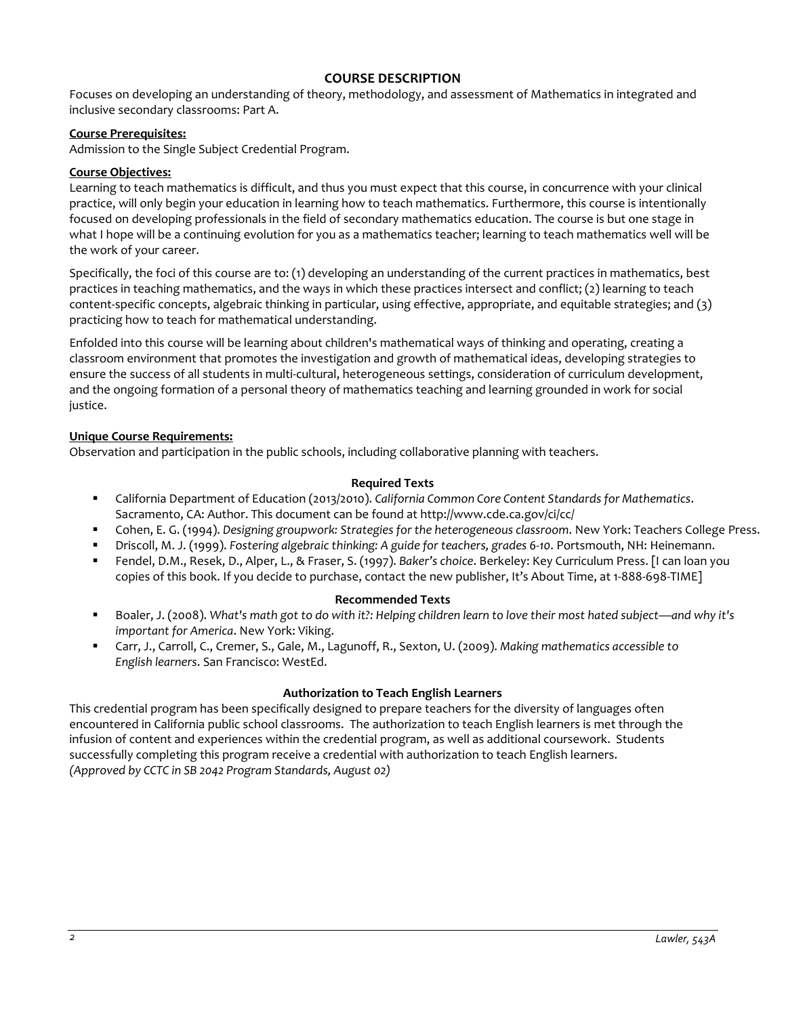# **COURSE DESCRIPTION**

Focuses on developing an understanding of theory, methodology, and assessment of Mathematics in integrated and inclusive secondary classrooms: Part A.

#### **Course Prerequisites:**

Admission to the Single Subject Credential Program.

#### **Course Objectives:**

Learning to teach mathematics is difficult, and thus you must expect that this course, in concurrence with your clinical practice, will only begin your education in learning how to teach mathematics. Furthermore, this course is intentionally focused on developing professionals in the field of secondary mathematics education. The course is but one stage in what I hope will be a continuing evolution for you as a mathematics teacher; learning to teach mathematics well will be the work of your career.

Specifically, the foci of this course are to: (1) developing an understanding of the current practices in mathematics, best practices in teaching mathematics, and the ways in which these practices intersect and conflict; (2) learning to teach content-specific concepts, algebraic thinking in particular, using effective, appropriate, and equitable strategies; and (3) practicing how to teach for mathematical understanding.

Enfolded into this course will be learning about children's mathematical ways of thinking and operating, creating a classroom environment that promotes the investigation and growth of mathematical ideas, developing strategies to ensure the success of all students in multi-cultural, heterogeneous settings, consideration of curriculum development, and the ongoing formation of a personal theory of mathematics teaching and learning grounded in work for social justice.

#### **Unique Course Requirements:**

Observation and participation in the public schools, including collaborative planning with teachers.

#### **Required Texts**

- California Department of Education (2013/2010). *California Common Core Content Standards for Mathematics*. Sacramento, CA: Author. This document can be found at http://www.cde.ca.gov/ci/cc/
- Cohen, E. G. (1994). *Designing groupwork: Strategies for the heterogeneous classroom*. New York: Teachers College Press.
- Driscoll, M. J. (1999). *Fostering algebraic thinking: A guide for teachers, grades 6-10*. Portsmouth, NH: Heinemann.
- Fendel, D.M., Resek, D., Alper, L., & Fraser, S. (1997). *Baker's choice*. Berkeley: Key Curriculum Press. [I can loan you copies of this book. If you decide to purchase, contact the new publisher, It's About Time, at 1-888-698-TIME]

### **Recommended Texts**

- Boaler, J. (2008). *What's math got to do with it?: Helping children learn to love their most hated subject—and why it's important for America*. New York: Viking.
- Carr, J., Carroll, C., Cremer, S., Gale, M., Lagunoff, R., Sexton, U. (2009). *Making mathematics accessible to English learners*. San Francisco: WestEd.

#### **Authorization to Teach English Learners**

This credential program has been specifically designed to prepare teachers for the diversity of languages often encountered in California public school classrooms. The authorization to teach English learners is met through the infusion of content and experiences within the credential program, as well as additional coursework. Students successfully completing this program receive a credential with authorization to teach English learners. *(Approved by CCTC in SB 2042 Program Standards, August 02)*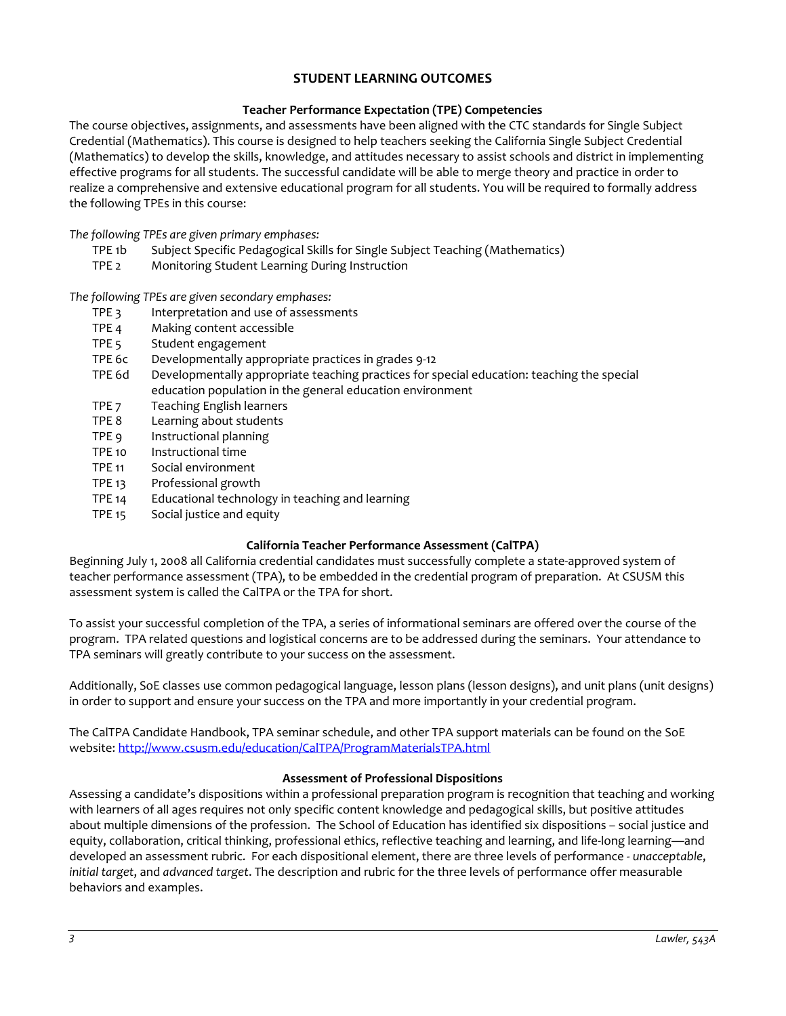# **STUDENT LEARNING OUTCOMES**

# **Teacher Performance Expectation (TPE) Competencies**

The course objectives, assignments, and assessments have been aligned with the CTC standards for Single Subject Credential (Mathematics). This course is designed to help teachers seeking the California Single Subject Credential (Mathematics) to develop the skills, knowledge, and attitudes necessary to assist schools and district in implementing effective programs for all students. The successful candidate will be able to merge theory and practice in order to realize a comprehensive and extensive educational program for all students. You will be required to formally address the following TPEs in this course:

*The following TPEs are given primary emphases:*

- TPE 1b Subject Specific Pedagogical Skills for Single Subject Teaching (Mathematics)
- TPE 2 Monitoring Student Learning During Instruction

*The following TPEs are given secondary emphases:*

- TPE 3 Interpretation and use of assessments
- TPE 4 Making content accessible
- TPE 5 Student engagement
- TPE 6c Developmentally appropriate practices in grades 9-12
- TPE 6d Developmentally appropriate teaching practices for special education: teaching the special education population in the general education environment
- TPE 7 Teaching English learners
- TPE 8 Learning about students
- TPE 9 Instructional planning
- TPE 10 Instructional time
- TPE 11 Social environment
- TPE 13 Professional growth
- TPE 14 Educational technology in teaching and learning
- TPE 15 Social justice and equity

### **California Teacher Performance Assessment (CalTPA)**

Beginning July 1, 2008 all California credential candidates must successfully complete a state-approved system of teacher performance assessment (TPA), to be embedded in the credential program of preparation. At CSUSM this assessment system is called the CalTPA or the TPA for short.

To assist your successful completion of the TPA, a series of informational seminars are offered over the course of the program. TPA related questions and logistical concerns are to be addressed during the seminars. Your attendance to TPA seminars will greatly contribute to your success on the assessment.

Additionally, SoE classes use common pedagogical language, lesson plans (lesson designs), and unit plans (unit designs) in order to support and ensure your success on the TPA and more importantly in your credential program.

The CalTPA Candidate Handbook, TPA seminar schedule, and other TPA support materials can be found on the SoE website: <http://www.csusm.edu/education/CalTPA/ProgramMaterialsTPA.html>

### **Assessment of Professional Dispositions**

Assessing a candidate's dispositions within a professional preparation program is recognition that teaching and working with learners of all ages requires not only specific content knowledge and pedagogical skills, but positive attitudes about multiple dimensions of the profession. The School of Education has identified six dispositions – social justice and equity, collaboration, critical thinking, professional ethics, reflective teaching and learning, and life-long learning—and developed an assessment rubric. For each dispositional element, there are three levels of performance - *unacceptable*, *initial target*, and *advanced target*. The description and rubric for the three levels of performance offer measurable behaviors and examples.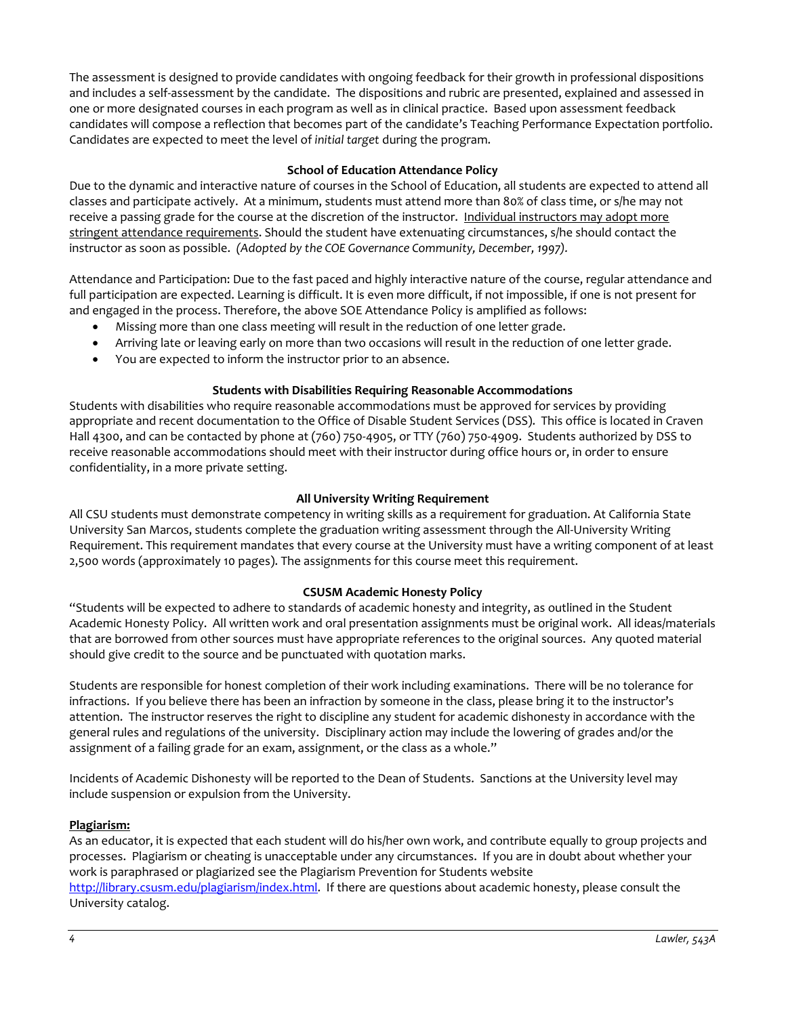The assessment is designed to provide candidates with ongoing feedback for their growth in professional dispositions and includes a self-assessment by the candidate. The dispositions and rubric are presented, explained and assessed in one or more designated courses in each program as well as in clinical practice. Based upon assessment feedback candidates will compose a reflection that becomes part of the candidate's Teaching Performance Expectation portfolio. Candidates are expected to meet the level of *initial target* during the program.

### **School of Education Attendance Policy**

Due to the dynamic and interactive nature of courses in the School of Education, all students are expected to attend all classes and participate actively. At a minimum, students must attend more than 80% of class time, or s/he may not receive a passing grade for the course at the discretion of the instructor. Individual instructors may adopt more stringent attendance requirements. Should the student have extenuating circumstances, s/he should contact the instructor as soon as possible. *(Adopted by the COE Governance Community, December, 1997).*

Attendance and Participation: Due to the fast paced and highly interactive nature of the course, regular attendance and full participation are expected. Learning is difficult. It is even more difficult, if not impossible, if one is not present for and engaged in the process. Therefore, the above SOE Attendance Policy is amplified as follows:

- Missing more than one class meeting will result in the reduction of one letter grade.
- Arriving late or leaving early on more than two occasions will result in the reduction of one letter grade.
- You are expected to inform the instructor prior to an absence.

# **Students with Disabilities Requiring Reasonable Accommodations**

Students with disabilities who require reasonable accommodations must be approved for services by providing appropriate and recent documentation to the Office of Disable Student Services (DSS). This office is located in Craven Hall 4300, and can be contacted by phone at (760) 750-4905, or TTY (760) 750-4909. Students authorized by DSS to receive reasonable accommodations should meet with their instructor during office hours or, in order to ensure confidentiality, in a more private setting.

# **All University Writing Requirement**

All CSU students must demonstrate competency in writing skills as a requirement for graduation. At California State University San Marcos, students complete the graduation writing assessment through the All-University Writing Requirement. This requirement mandates that every course at the University must have a writing component of at least 2,500 words (approximately 10 pages). The assignments for this course meet this requirement.

# **CSUSM Academic Honesty Policy**

"Students will be expected to adhere to standards of academic honesty and integrity, as outlined in the Student Academic Honesty Policy. All written work and oral presentation assignments must be original work. All ideas/materials that are borrowed from other sources must have appropriate references to the original sources. Any quoted material should give credit to the source and be punctuated with quotation marks.

Students are responsible for honest completion of their work including examinations. There will be no tolerance for infractions. If you believe there has been an infraction by someone in the class, please bring it to the instructor's attention. The instructor reserves the right to discipline any student for academic dishonesty in accordance with the general rules and regulations of the university. Disciplinary action may include the lowering of grades and/or the assignment of a failing grade for an exam, assignment, or the class as a whole."

Incidents of Academic Dishonesty will be reported to the Dean of Students. Sanctions at the University level may include suspension or expulsion from the University.

# **Plagiarism:**

As an educator, it is expected that each student will do his/her own work, and contribute equally to group projects and processes. Plagiarism or cheating is unacceptable under any circumstances. If you are in doubt about whether your work is paraphrased or plagiarized see the Plagiarism Prevention for Students website [http://library.csusm.edu/plagiarism/index.html.](http://library.csusm.edu/plagiarism/index.html) If there are questions about academic honesty, please consult the University catalog.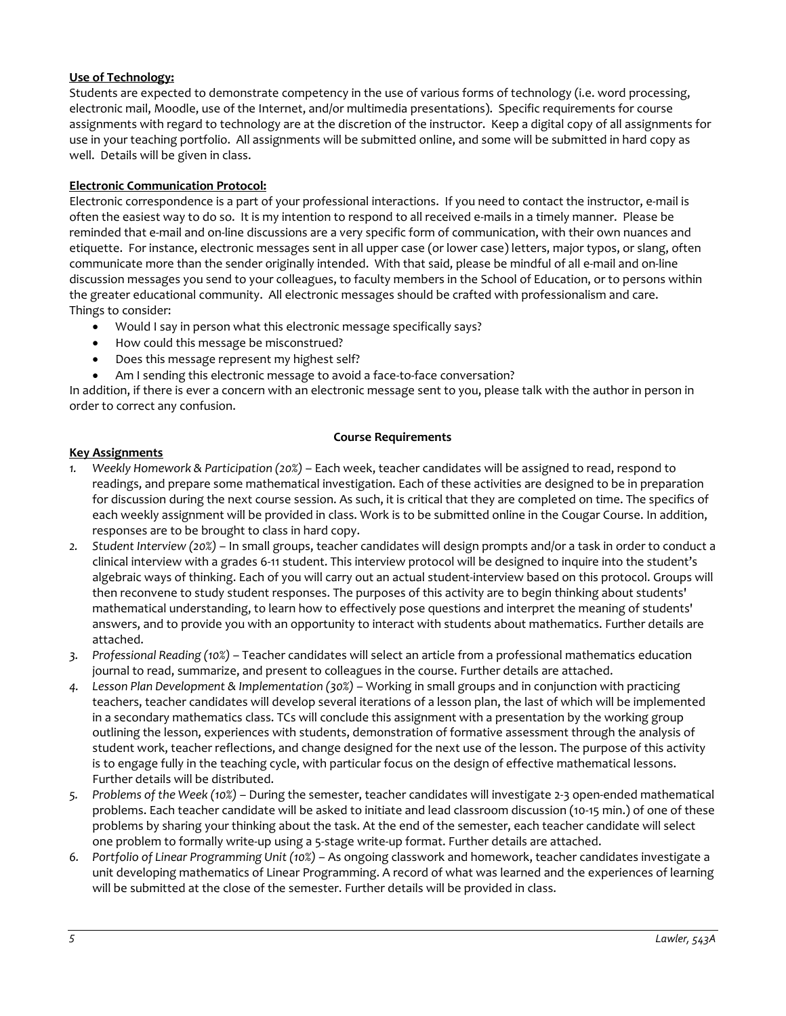# **Use of Technology:**

Students are expected to demonstrate competency in the use of various forms of technology (i.e. word processing, electronic mail, Moodle, use of the Internet, and/or multimedia presentations). Specific requirements for course assignments with regard to technology are at the discretion of the instructor. Keep a digital copy of all assignments for use in your teaching portfolio. All assignments will be submitted online, and some will be submitted in hard copy as well. Details will be given in class.

# **Electronic Communication Protocol:**

Electronic correspondence is a part of your professional interactions. If you need to contact the instructor, e-mail is often the easiest way to do so. It is my intention to respond to all received e-mails in a timely manner. Please be reminded that e-mail and on-line discussions are a very specific form of communication, with their own nuances and etiquette. For instance, electronic messages sent in all upper case (or lower case) letters, major typos, or slang, often communicate more than the sender originally intended. With that said, please be mindful of all e-mail and on-line discussion messages you send to your colleagues, to faculty members in the School of Education, or to persons within the greater educational community. All electronic messages should be crafted with professionalism and care. Things to consider:

- Would I say in person what this electronic message specifically says?
- How could this message be misconstrued?
- Does this message represent my highest self?
- Am I sending this electronic message to avoid a face-to-face conversation?

In addition, if there is ever a concern with an electronic message sent to you, please talk with the author in person in order to correct any confusion.

### **Course Requirements**

#### **Key Assignments**

- *1. Weekly Homework & Participation (20%)* Each week, teacher candidates will be assigned to read, respond to readings, and prepare some mathematical investigation. Each of these activities are designed to be in preparation for discussion during the next course session. As such, it is critical that they are completed on time. The specifics of each weekly assignment will be provided in class. Work is to be submitted online in the Cougar Course. In addition, responses are to be brought to class in hard copy.
- *2. Student Interview (20%)* In small groups, teacher candidates will design prompts and/or a task in order to conduct a clinical interview with a grades 6-11 student. This interview protocol will be designed to inquire into the student's algebraic ways of thinking. Each of you will carry out an actual student-interview based on this protocol. Groups will then reconvene to study student responses. The purposes of this activity are to begin thinking about students' mathematical understanding, to learn how to effectively pose questions and interpret the meaning of students' answers, and to provide you with an opportunity to interact with students about mathematics. Further details are attached.
- *3. Professional Reading (10%)* Teacher candidates will select an article from a professional mathematics education journal to read, summarize, and present to colleagues in the course. Further details are attached.
- *4. Lesson Plan Development & Implementation (30%)* Working in small groups and in conjunction with practicing teachers, teacher candidates will develop several iterations of a lesson plan, the last of which will be implemented in a secondary mathematics class. TCs will conclude this assignment with a presentation by the working group outlining the lesson, experiences with students, demonstration of formative assessment through the analysis of student work, teacher reflections, and change designed for the next use of the lesson. The purpose of this activity is to engage fully in the teaching cycle, with particular focus on the design of effective mathematical lessons. Further details will be distributed.
- *5. Problems of the Week (10%)* During the semester, teacher candidates will investigate 2-3 open-ended mathematical problems. Each teacher candidate will be asked to initiate and lead classroom discussion (10-15 min.) of one of these problems by sharing your thinking about the task. At the end of the semester, each teacher candidate will select one problem to formally write-up using a 5-stage write-up format. Further details are attached.
- *6. Portfolio of Linear Programming Unit (10%)* As ongoing classwork and homework, teacher candidates investigate a unit developing mathematics of Linear Programming. A record of what was learned and the experiences of learning will be submitted at the close of the semester. Further details will be provided in class.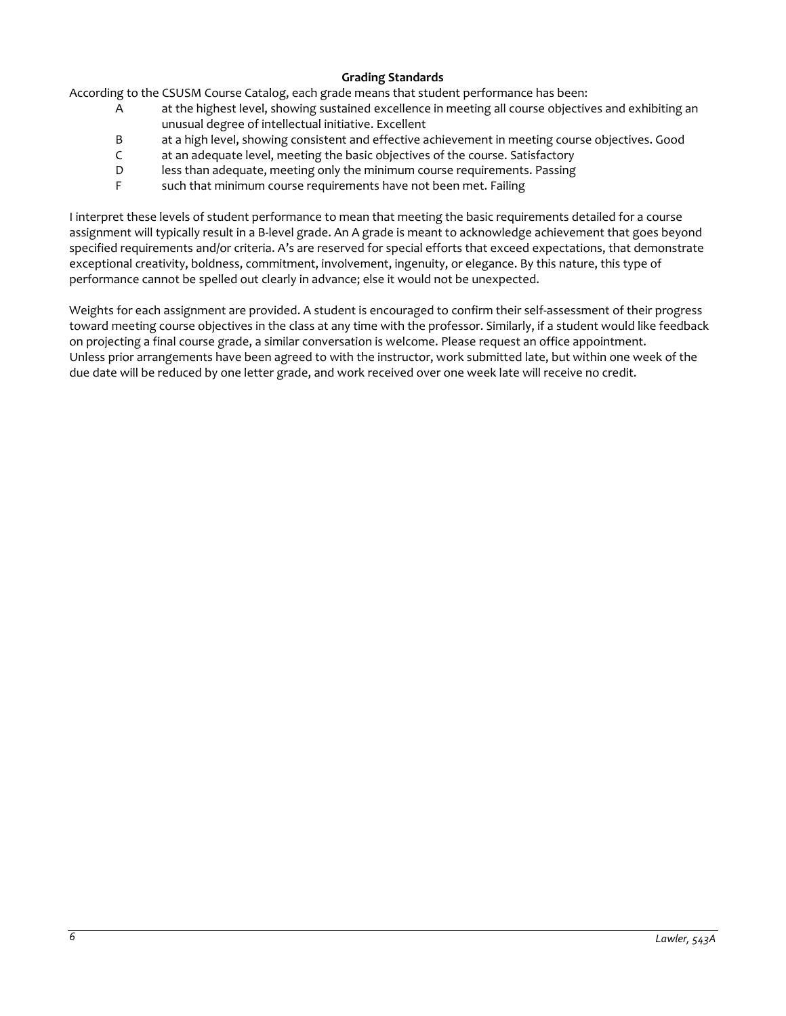# **Grading Standards**

According to the CSUSM Course Catalog, each grade means that student performance has been:

- A at the highest level, showing sustained excellence in meeting all course objectives and exhibiting an unusual degree of intellectual initiative. Excellent
- B at a high level, showing consistent and effective achievement in meeting course objectives. Good
- C at an adequate level, meeting the basic objectives of the course. Satisfactory
- D less than adequate, meeting only the minimum course requirements. Passing
- F such that minimum course requirements have not been met. Failing

I interpret these levels of student performance to mean that meeting the basic requirements detailed for a course assignment will typically result in a B-level grade. An A grade is meant to acknowledge achievement that goes beyond specified requirements and/or criteria. A's are reserved for special efforts that exceed expectations, that demonstrate exceptional creativity, boldness, commitment, involvement, ingenuity, or elegance. By this nature, this type of performance cannot be spelled out clearly in advance; else it would not be unexpected.

Weights for each assignment are provided. A student is encouraged to confirm their self-assessment of their progress toward meeting course objectives in the class at any time with the professor. Similarly, if a student would like feedback on projecting a final course grade, a similar conversation is welcome. Please request an office appointment. Unless prior arrangements have been agreed to with the instructor, work submitted late, but within one week of the due date will be reduced by one letter grade, and work received over one week late will receive no credit.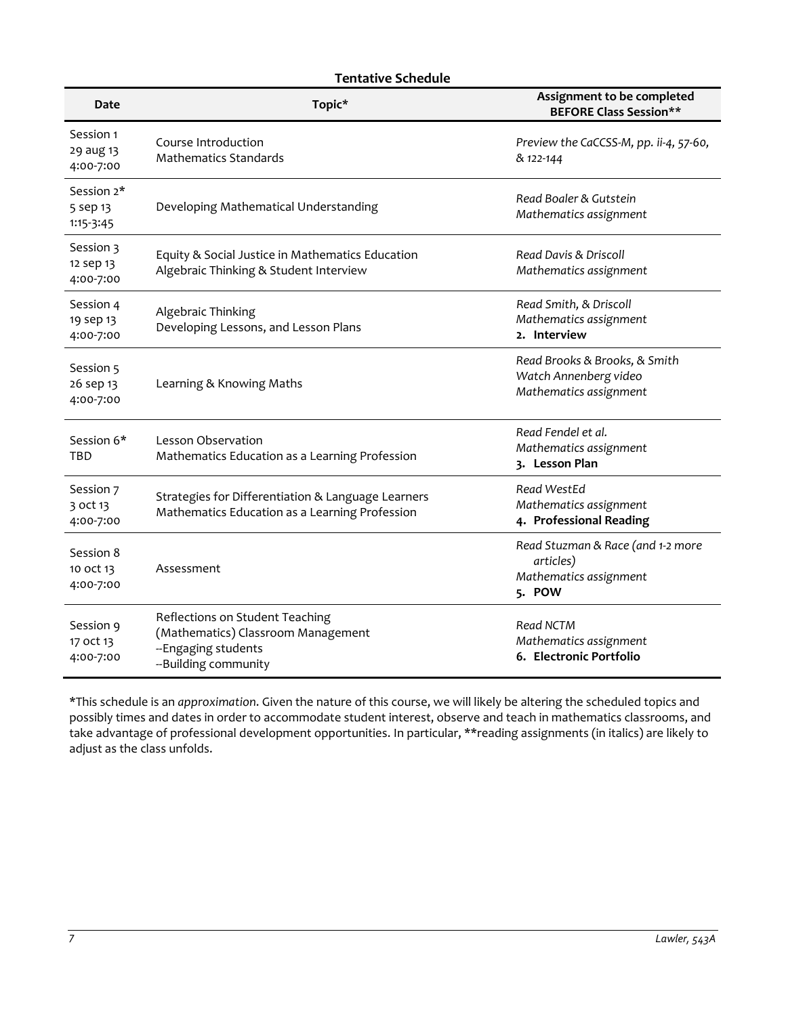# **Tentative Schedule**

| Date                                | Topic*                                                                                                               | Assignment to be completed<br><b>BEFORE Class Session**</b>                        |
|-------------------------------------|----------------------------------------------------------------------------------------------------------------------|------------------------------------------------------------------------------------|
| Session 1<br>29 aug 13<br>4:00-7:00 | Course Introduction<br><b>Mathematics Standards</b>                                                                  | Preview the CaCCSS-M, pp. ii-4, 57-60,<br>& 122-144                                |
| Session 2*<br>5 sep 13<br>1:15-3:45 | Developing Mathematical Understanding                                                                                | Read Boaler & Gutstein<br>Mathematics assignment                                   |
| Session 3<br>12 sep 13<br>4:00-7:00 | Equity & Social Justice in Mathematics Education<br>Algebraic Thinking & Student Interview                           | Read Davis & Driscoll<br>Mathematics assignment                                    |
| Session 4<br>19 sep 13<br>4:00-7:00 | Algebraic Thinking<br>Developing Lessons, and Lesson Plans                                                           | Read Smith, & Driscoll<br>Mathematics assignment<br>2. Interview                   |
| Session 5<br>26 sep 13<br>4:00-7:00 | Learning & Knowing Maths                                                                                             | Read Brooks & Brooks, & Smith<br>Watch Annenberg video<br>Mathematics assignment   |
| Session 6*<br>TBD                   | Lesson Observation<br>Mathematics Education as a Learning Profession                                                 | Read Fendel et al.<br>Mathematics assignment<br>3. Lesson Plan                     |
| Session 7<br>3 oct 13<br>4:00-7:00  | Strategies for Differentiation & Language Learners<br>Mathematics Education as a Learning Profession                 | Read WestEd<br>Mathematics assignment<br>4. Professional Reading                   |
| Session 8<br>10 oct 13<br>4:00-7:00 | Assessment                                                                                                           | Read Stuzman & Race (and 1-2 more<br>articles)<br>Mathematics assignment<br>5. POW |
| Session 9<br>17 oct 13<br>4:00-7:00 | Reflections on Student Teaching<br>(Mathematics) Classroom Management<br>--Engaging students<br>--Building community | Read NCTM<br>Mathematics assignment<br>6. Electronic Portfolio                     |

\*This schedule is an *approximation*. Given the nature of this course, we will likely be altering the scheduled topics and possibly times and dates in order to accommodate student interest, observe and teach in mathematics classrooms, and take advantage of professional development opportunities. In particular, \*\*reading assignments (in italics) are likely to adjust as the class unfolds.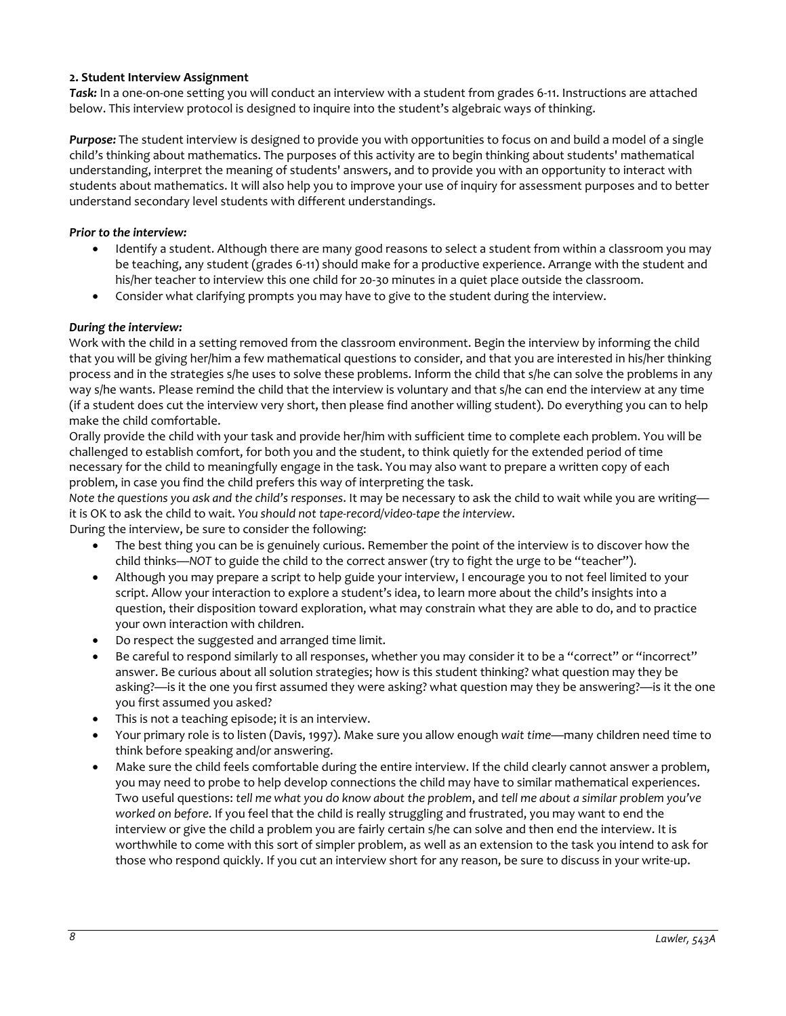# **2. Student Interview Assignment**

*Task:* In a one-on-one setting you will conduct an interview with a student from grades 6-11. Instructions are attached below. This interview protocol is designed to inquire into the student's algebraic ways of thinking.

*Purpose:* The student interview is designed to provide you with opportunities to focus on and build a model of a single child's thinking about mathematics. The purposes of this activity are to begin thinking about students' mathematical understanding, interpret the meaning of students' answers, and to provide you with an opportunity to interact with students about mathematics. It will also help you to improve your use of inquiry for assessment purposes and to better understand secondary level students with different understandings.

# *Prior to the interview:*

- Identify a student. Although there are many good reasons to select a student from within a classroom you may be teaching, any student (grades 6-11) should make for a productive experience. Arrange with the student and his/her teacher to interview this one child for 20-30 minutes in a quiet place outside the classroom.
- Consider what clarifying prompts you may have to give to the student during the interview.

# *During the interview:*

Work with the child in a setting removed from the classroom environment. Begin the interview by informing the child that you will be giving her/him a few mathematical questions to consider, and that you are interested in his/her thinking process and in the strategies s/he uses to solve these problems. Inform the child that s/he can solve the problems in any way s/he wants. Please remind the child that the interview is voluntary and that s/he can end the interview at any time (if a student does cut the interview very short, then please find another willing student). Do everything you can to help make the child comfortable.

Orally provide the child with your task and provide her/him with sufficient time to complete each problem. You will be challenged to establish comfort, for both you and the student, to think quietly for the extended period of time necessary for the child to meaningfully engage in the task. You may also want to prepare a written copy of each problem, in case you find the child prefers this way of interpreting the task.

*Note the questions you ask and the child's responses*. It may be necessary to ask the child to wait while you are writing it is OK to ask the child to wait. *You should not tape-record/video-tape the interview*.

During the interview, be sure to consider the following:

- The best thing you can be is genuinely curious. Remember the point of the interview is to discover how the child thinks—*NOT* to guide the child to the correct answer (try to fight the urge to be "teacher").
- Although you may prepare a script to help guide your interview, I encourage you to not feel limited to your script. Allow your interaction to explore a student's idea, to learn more about the child's insights into a question, their disposition toward exploration, what may constrain what they are able to do, and to practice your own interaction with children.
- Do respect the suggested and arranged time limit.
- Be careful to respond similarly to all responses, whether you may consider it to be a "correct" or "incorrect" answer. Be curious about all solution strategies; how is this student thinking? what question may they be asking?—is it the one you first assumed they were asking? what question may they be answering?—is it the one you first assumed you asked?
- This is not a teaching episode; it is an interview.
- Your primary role is to listen (Davis, 1997). Make sure you allow enough *wait time*—many children need time to think before speaking and/or answering.
- Make sure the child feels comfortable during the entire interview. If the child clearly cannot answer a problem, you may need to probe to help develop connections the child may have to similar mathematical experiences. Two useful questions: *tell me what you do know about the problem*, and *tell me about a similar problem you've worked on before*. If you feel that the child is really struggling and frustrated, you may want to end the interview or give the child a problem you are fairly certain s/he can solve and then end the interview. It is worthwhile to come with this sort of simpler problem, as well as an extension to the task you intend to ask for those who respond quickly. If you cut an interview short for any reason, be sure to discuss in your write-up.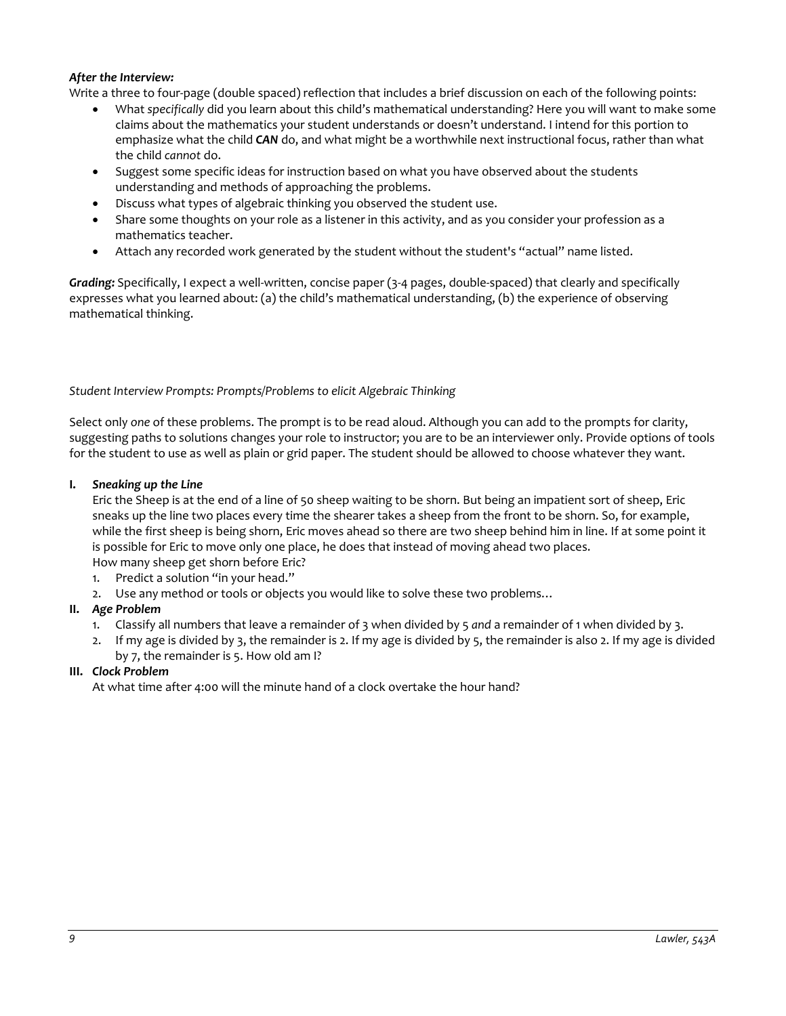# *After the Interview:*

Write a three to four-page (double spaced) reflection that includes a brief discussion on each of the following points:

- What *specifically* did you learn about this child's mathematical understanding? Here you will want to make some claims about the mathematics your student understands or doesn't understand. I intend for this portion to emphasize what the child *CAN* do, and what might be a worthwhile next instructional focus, rather than what the child *cannot* do.
- Suggest some specific ideas for instruction based on what you have observed about the students understanding and methods of approaching the problems.
- Discuss what types of algebraic thinking you observed the student use.
- Share some thoughts on your role as a listener in this activity, and as you consider your profession as a mathematics teacher.
- Attach any recorded work generated by the student without the student's "actual" name listed.

*Grading:* Specifically, I expect a well-written, concise paper (3-4 pages, double-spaced) that clearly and specifically expresses what you learned about: (a) the child's mathematical understanding, (b) the experience of observing mathematical thinking.

### *Student Interview Prompts: Prompts/Problems to elicit Algebraic Thinking*

Select only *one* of these problems. The prompt is to be read aloud. Although you can add to the prompts for clarity, suggesting paths to solutions changes your role to instructor; you are to be an interviewer only. Provide options of tools for the student to use as well as plain or grid paper. The student should be allowed to choose whatever they want.

### **I.** *Sneaking up the Line*

Eric the Sheep is at the end of a line of 50 sheep waiting to be shorn. But being an impatient sort of sheep, Eric sneaks up the line two places every time the shearer takes a sheep from the front to be shorn. So, for example, while the first sheep is being shorn, Eric moves ahead so there are two sheep behind him in line. If at some point it is possible for Eric to move only one place, he does that instead of moving ahead two places. How many sheep get shorn before Eric?

- 1. Predict a solution "in your head."
- 2. Use any method or tools or objects you would like to solve these two problems…

### **II.** *Age Problem*

- 1. Classify all numbers that leave a remainder of 3 when divided by 5 *and* a remainder of 1 when divided by 3.
- 2. If my age is divided by 3, the remainder is 2. If my age is divided by 5, the remainder is also 2. If my age is divided by 7, the remainder is 5. How old am I?

### **III.** *Clock Problem*

At what time after 4:00 will the minute hand of a clock overtake the hour hand?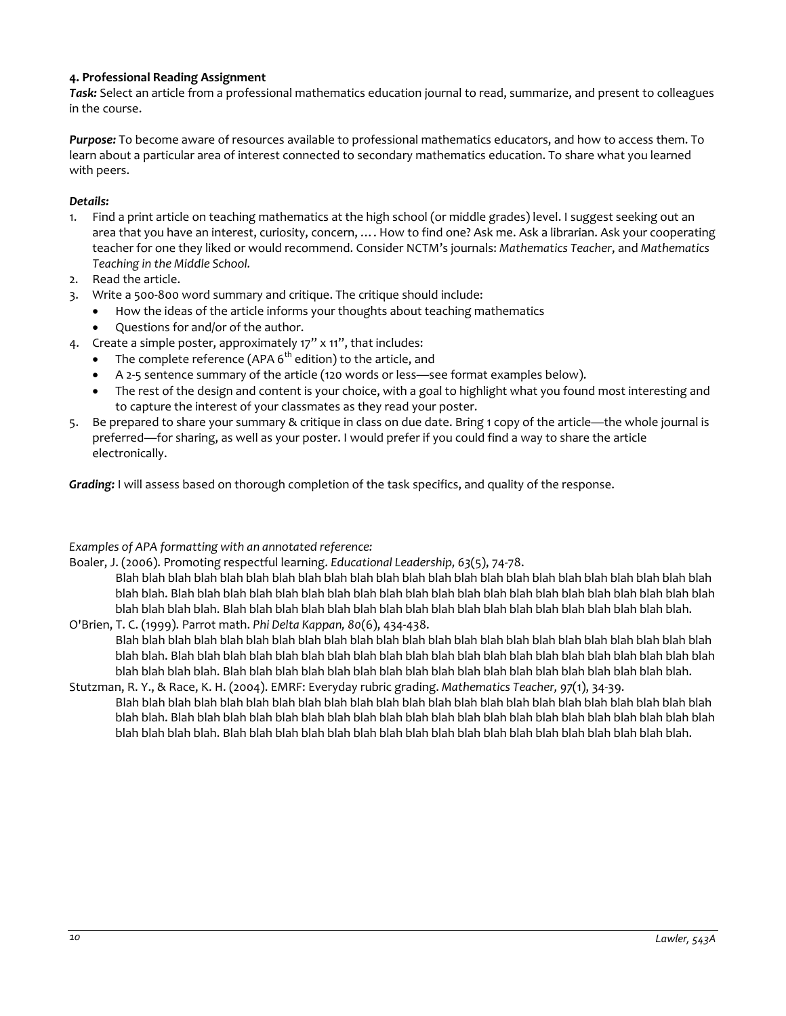# **4. Professional Reading Assignment**

*Task:* Select an article from a professional mathematics education journal to read, summarize, and present to colleagues in the course.

*Purpose:* To become aware of resources available to professional mathematics educators, and how to access them. To learn about a particular area of interest connected to secondary mathematics education. To share what you learned with peers.

### *Details:*

- 1. Find a print article on teaching mathematics at the high school (or middle grades) level. I suggest seeking out an area that you have an interest, curiosity, concern, …. How to find one? Ask me. Ask a librarian. Ask your cooperating teacher for one they liked or would recommend. Consider NCTM's journals: *Mathematics Teacher*, and *Mathematics Teaching in the Middle School.*
- 2. Read the article.
- 3. Write a 500-800 word summary and critique. The critique should include:
	- How the ideas of the article informs your thoughts about teaching mathematics
		- Questions for and/or of the author.
- 4. Create a simple poster, approximately 17" x 11", that includes:
	- The complete reference (APA  $6<sup>th</sup>$  edition) to the article, and
	- A 2-5 sentence summary of the article (120 words or less—see format examples below).
	- The rest of the design and content is your choice, with a goal to highlight what you found most interesting and to capture the interest of your classmates as they read your poster.
- 5. Be prepared to share your summary & critique in class on due date. Bring 1 copy of the article—the whole journal is preferred—for sharing, as well as your poster. I would prefer if you could find a way to share the article electronically.

*Grading:* I will assess based on thorough completion of the task specifics, and quality of the response.

### *Examples of APA formatting with an annotated reference:*

Boaler, J. (2006). Promoting respectful learning. *Educational Leadership, 63*(5), 74-78.

Blah blah blah blah blah blah blah blah blah blah blah blah blah blah blah blah blah blah blah blah blah blah blah blah blah. Blah blah blah blah blah blah blah blah blah blah blah blah blah blah blah blah blah blah blah blah blah blah blah blah blah. Blah blah blah blah blah blah blah blah blah blah blah blah blah blah blah blah blah blah. O'Brien, T. C. (1999). Parrot math. *Phi Delta Kappan, 80*(6), 434-438.

- Blah blah blah blah blah blah blah blah blah blah blah blah blah blah blah blah blah blah blah blah blah blah blah blah blah. Blah blah blah blah blah blah blah blah blah blah blah blah blah blah blah blah blah blah blah blah blah blah blah blah blah. Blah blah blah blah blah blah blah blah blah blah blah blah blah blah blah blah blah blah.
- Stutzman, R. Y., & Race, K. H. (2004). EMRF: Everyday rubric grading. *Mathematics Teacher, 97*(1), 34-39. Blah blah blah blah blah blah blah blah blah blah blah blah blah blah blah blah blah blah blah blah blah blah blah blah blah. Blah blah blah blah blah blah blah blah blah blah blah blah blah blah blah blah blah blah blah blah blah blah blah blah blah. Blah blah blah blah blah blah blah blah blah blah blah blah blah blah blah blah blah blah.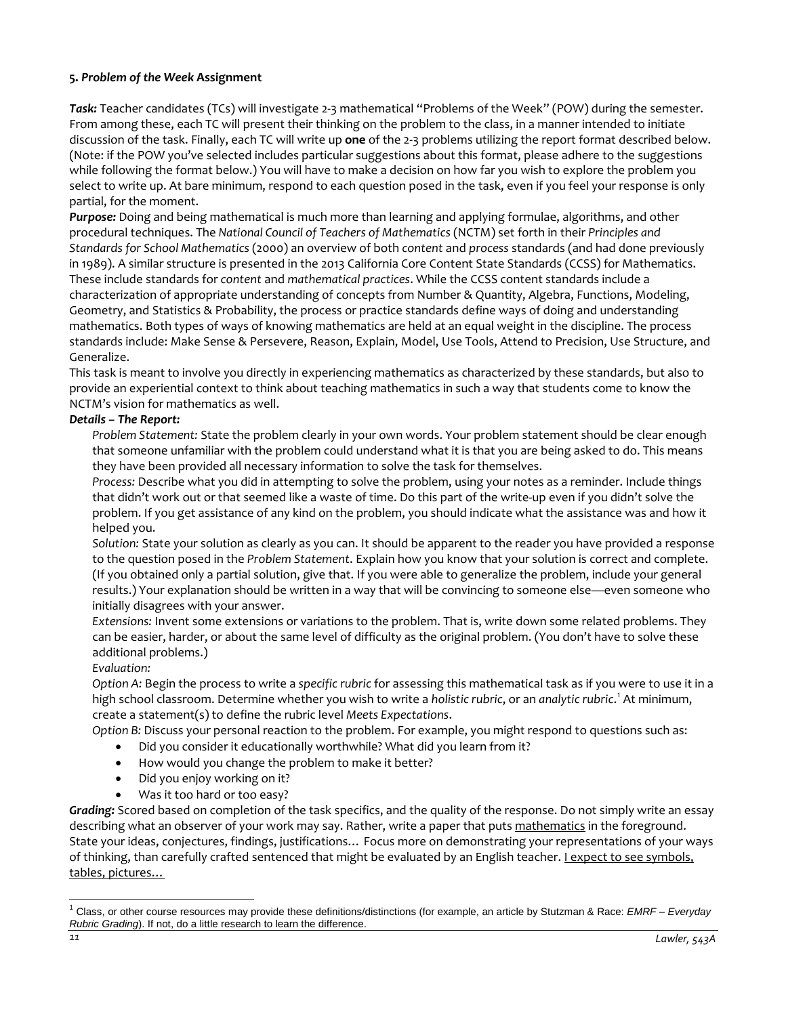# **5.** *Problem of the Week* **Assignment**

*Task:* Teacher candidates (TCs) will investigate 2-3 mathematical "Problems of the Week" (POW) during the semester. From among these, each TC will present their thinking on the problem to the class, in a manner intended to initiate discussion of the task. Finally, each TC will write up **one** of the 2-3 problems utilizing the report format described below. (Note: if the POW you've selected includes particular suggestions about this format, please adhere to the suggestions while following the format below.) You will have to make a decision on how far you wish to explore the problem you select to write up. At bare minimum, respond to each question posed in the task, even if you feel your response is only partial, for the moment.

*Purpose:* Doing and being mathematical is much more than learning and applying formulae, algorithms, and other procedural techniques. The *National Council of Teachers of Mathematics* (NCTM) set forth in their *Principles and Standards for School Mathematics* (2000) an overview of both *content* and *process* standards (and had done previously in 1989). A similar structure is presented in the 2013 California Core Content State Standards (CCSS) for Mathematics. These include standards for *content* and *mathematical practices*. While the CCSS content standards include a characterization of appropriate understanding of concepts from Number & Quantity, Algebra, Functions, Modeling, Geometry, and Statistics & Probability, the process or practice standards define ways of doing and understanding mathematics. Both types of ways of knowing mathematics are held at an equal weight in the discipline. The process standards include: Make Sense & Persevere, Reason, Explain, Model, Use Tools, Attend to Precision, Use Structure, and Generalize.

This task is meant to involve you directly in experiencing mathematics as characterized by these standards, but also to provide an experiential context to think about teaching mathematics in such a way that students come to know the NCTM's vision for mathematics as well.

# *Details – The Report:*

*Problem Statement:* State the problem clearly in your own words. Your problem statement should be clear enough that someone unfamiliar with the problem could understand what it is that you are being asked to do. This means they have been provided all necessary information to solve the task for themselves.

*Process:* Describe what you did in attempting to solve the problem, using your notes as a reminder. Include things that didn't work out or that seemed like a waste of time. Do this part of the write-up even if you didn't solve the problem. If you get assistance of any kind on the problem, you should indicate what the assistance was and how it helped you.

*Solution:* State your solution as clearly as you can. It should be apparent to the reader you have provided a response to the question posed in the *Problem Statement*. Explain how you know that your solution is correct and complete. (If you obtained only a partial solution, give that. If you were able to generalize the problem, include your general results.) Your explanation should be written in a way that will be convincing to someone else—even someone who initially disagrees with your answer.

*Extensions:* Invent some extensions or variations to the problem. That is, write down some related problems. They can be easier, harder, or about the same level of difficulty as the original problem. (You don't have to solve these additional problems.)

*Evaluation:*

*Option A:* Begin the process to write a *specific rubric* for assessing this mathematical task as if you were to use it in a high school classroom. Determine whether you wish to write a *holistic rubric*, or an *analytic rubric*. [1](#page-10-0) At minimum, create a statement(s) to define the rubric level *Meets Expectations*.

*Option B:* Discuss your personal reaction to the problem. For example, you might respond to questions such as:

- Did you consider it educationally worthwhile? What did you learn from it?
- How would you change the problem to make it better?
- Did you enjoy working on it?
- Was it too hard or too easy?

*Grading:* Scored based on completion of the task specifics, and the quality of the response. Do not simply write an essay describing what an observer of your work may say. Rather, write a paper that puts mathematics in the foreground. State your ideas, conjectures, findings, justifications… Focus more on demonstrating your representations of your ways of thinking, than carefully crafted sentenced that might be evaluated by an English teacher. I expect to see symbols, tables, pictures…

<span id="page-10-0"></span><sup>1</sup> Class, or other course resources may provide these definitions/distinctions (for example, an article by Stutzman & Race: *EMRF – Everyday Rubric Grading*). If not, do a little research to learn the difference.